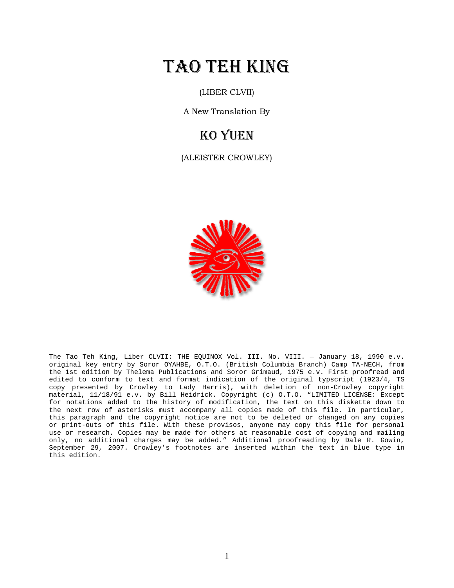# TAO TEH KING

(LIBER CLVII)

A New Translation By

# KO YUEN

(ALEISTER CROWLEY)



The Tao Teh King, Liber CLVII: THE EQUINOX Vol. III. No. VIII. — January 18, 1990 e.v. original key entry by Soror OYAHBE, O.T.O. (British Columbia Branch) Camp TA-NECH, from the 1st edition by Thelema Publications and Soror Grimaud, 1975 e.v. First proofread and edited to conform to text and format indication of the original typscript (1923/4, TS copy presented by Crowley to Lady Harris), with deletion of non-Crowley copyright material, 11/18/91 e.v. by Bill Heidrick. Copyright (c) O.T.O. "LIMITED LICENSE: Except for notations added to the history of modification, the text on this diskette down to the next row of asterisks must accompany all copies made of this file. In particular, this paragraph and the copyright notice are not to be deleted or changed on any copies or print-outs of this file. With these provisos, anyone may copy this file for personal use or research. Copies may be made for others at reasonable cost of copying and mailing only, no additional charges may be added." Additional proofreading by Dale R. Gowin, September 29, 2007. Crowley's footnotes are inserted within the text in blue type in this edition.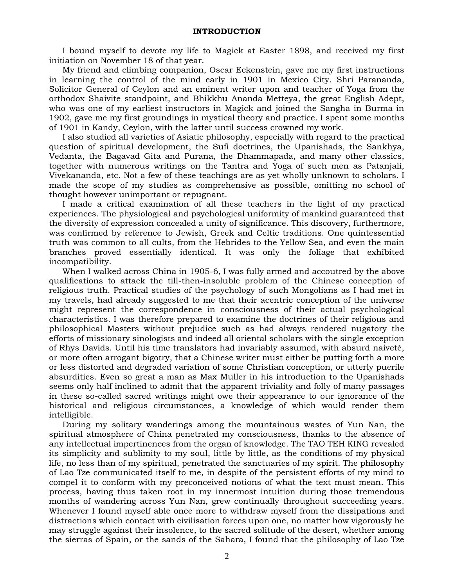I bound myself to devote my life to Magick at Easter 1898, and received my first initiation on November 18 of that year.

My friend and climbing companion, Oscar Eckenstein, gave me my first instructions in learning the control of the mind early in 1901 in Mexico City. Shri Parananda, Solicitor General of Ceylon and an eminent writer upon and teacher of Yoga from the orthodox Shaivite standpoint, and Bhikkhu Ananda Metteya, the great English Adept, who was one of my earliest instructors in Magick and joined the Sangha in Burma in 1902, gave me my first groundings in mystical theory and practice. I spent some months of 1901 in Kandy, Ceylon, with the latter until success crowned my work.

I also studied all varieties of Asiatic philosophy, especially with regard to the practical question of spiritual development, the Sufi doctrines, the Upanishads, the Sankhya, Vedanta, the Bagavad Gita and Purana, the Dhammapada, and many other classics, together with numerous writings on the Tantra and Yoga of such men as Patanjali, Vivekananda, etc. Not a few of these teachings are as yet wholly unknown to scholars. I made the scope of my studies as comprehensive as possible, omitting no school of thought however unimportant or repugnant.

I made a critical examination of all these teachers in the light of my practical experiences. The physiological and psychological uniformity of mankind guaranteed that the diversity of expression concealed a unity of significance. This discovery, furthermore, was confirmed by reference to Jewish, Greek and Celtic traditions. One quintessential truth was common to all cults, from the Hebrides to the Yellow Sea, and even the main branches proved essentially identical. It was only the foliage that exhibited incompatibility.

When I walked across China in 1905-6, I was fully armed and accoutred by the above qualifications to attack the till-then-insoluble problem of the Chinese conception of religious truth. Practical studies of the psychology of such Mongolians as I had met in my travels, had already suggested to me that their acentric conception of the universe might represent the correspondence in consciousness of their actual psychological characteristics. I was therefore prepared to examine the doctrines of their religious and philosophical Masters without prejudice such as had always rendered nugatory the efforts of missionary sinologists and indeed all oriental scholars with the single exception of Rhys Davids. Until his time translators had invariably assumed, with absurd naiveté, or more often arrogant bigotry, that a Chinese writer must either be putting forth a more or less distorted and degraded variation of some Christian conception, or utterly puerile absurdities. Even so great a man as Max Muller in his introduction to the Upanishads seems only half inclined to admit that the apparent triviality and folly of many passages in these so-called sacred writings might owe their appearance to our ignorance of the historical and religious circumstances, a knowledge of which would render them intelligible.

During my solitary wanderings among the mountainous wastes of Yun Nan, the spiritual atmosphere of China penetrated my consciousness, thanks to the absence of any intellectual impertinences from the organ of knowledge. The TAO TEH KING revealed its simplicity and sublimity to my soul, little by little, as the conditions of my physical life, no less than of my spiritual, penetrated the sanctuaries of my spirit. The philosophy of Lao Tze communicated itself to me, in despite of the persistent efforts of my mind to compel it to conform with my preconceived notions of what the text must mean. This process, having thus taken root in my innermost intuition during those tremendous months of wandering across Yun Nan, grew continually throughout succeeding years. Whenever I found myself able once more to withdraw myself from the dissipations and distractions which contact with civilisation forces upon one, no matter how vigorously he may struggle against their insolence, to the sacred solitude of the desert, whether among the sierras of Spain, or the sands of the Sahara, I found that the philosophy of Lao Tze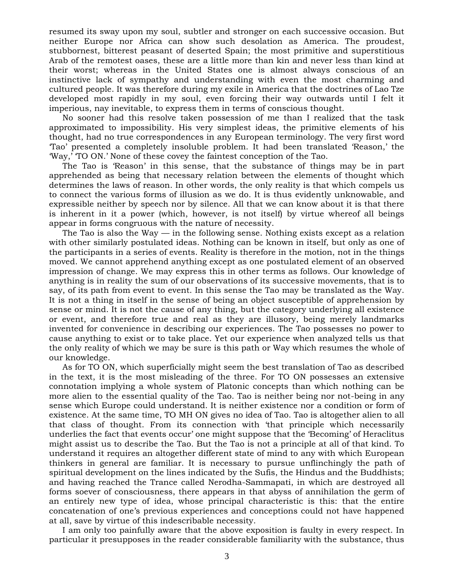resumed its sway upon my soul, subtler and stronger on each successive occasion. But neither Europe nor Africa can show such desolation as America. The proudest, stubbornest, bitterest peasant of deserted Spain; the most primitive and superstitious Arab of the remotest oases, these are a little more than kin and never less than kind at their worst; whereas in the United States one is almost always conscious of an instinctive lack of sympathy and understanding with even the most charming and cultured people. It was therefore during my exile in America that the doctrines of Lao Tze developed most rapidly in my soul, even forcing their way outwards until I felt it imperious, nay inevitable, to express them in terms of conscious thought.

No sooner had this resolve taken possession of me than I realized that the task approximated to impossibility. His very simplest ideas, the primitive elements of his thought, had no true correspondences in any European terminology. The very first word 'Tao' presented a completely insoluble problem. It had been translated 'Reason,' the 'Way,' 'TO ON.' None of these covey the faintest conception of the Tao.

The Tao is 'Reason' in this sense, that the substance of things may be in part apprehended as being that necessary relation between the elements of thought which determines the laws of reason. In other words, the only reality is that which compels us to connect the various forms of illusion as we do. It is thus evidently unknowable, and expressible neither by speech nor by silence. All that we can know about it is that there is inherent in it a power (which, however, is not itself) by virtue whereof all beings appear in forms congruous with the nature of necessity.

The Tao is also the Way  $-$  in the following sense. Nothing exists except as a relation with other similarly postulated ideas. Nothing can be known in itself, but only as one of the participants in a series of events. Reality is therefore in the motion, not in the things moved. We cannot apprehend anything except as one postulated element of an observed impression of change. We may express this in other terms as follows. Our knowledge of anything is in reality the sum of our observations of its successive movements, that is to say, of its path from event to event. In this sense the Tao may be translated as the Way. It is not a thing in itself in the sense of being an object susceptible of apprehension by sense or mind. It is not the cause of any thing, but the category underlying all existence or event, and therefore true and real as they are illusory, being merely landmarks invented for convenience in describing our experiences. The Tao possesses no power to cause anything to exist or to take place. Yet our experience when analyzed tells us that the only reality of which we may be sure is this path or Way which resumes the whole of our knowledge.

As for TO ON, which superficially might seem the best translation of Tao as described in the text, it is the most misleading of the three. For TO ON possesses an extensive connotation implying a whole system of Platonic concepts than which nothing can be more alien to the essential quality of the Tao. Tao is neither being nor not-being in any sense which Europe could understand. It is neither existence nor a condition or form of existence. At the same time, TO MH ON gives no idea of Tao. Tao is altogether alien to all that class of thought. From its connection with 'that principle which necessarily underlies the fact that events occur' one might suppose that the 'Becoming' of Heraclitus might assist us to describe the Tao. But the Tao is not a principle at all of that kind. To understand it requires an altogether different state of mind to any with which European thinkers in general are familiar. It is necessary to pursue unflinchingly the path of spiritual development on the lines indicated by the Sufis, the Hindus and the Buddhists; and having reached the Trance called Nerodha-Sammapati, in which are destroyed all forms soever of consciousness, there appears in that abyss of annihilation the germ of an entirely new type of idea, whose principal characteristic is this: that the entire concatenation of one's previous experiences and conceptions could not have happened at all, save by virtue of this indescribable necessity.

I am only too painfully aware that the above exposition is faulty in every respect. In particular it presupposes in the reader considerable familiarity with the substance, thus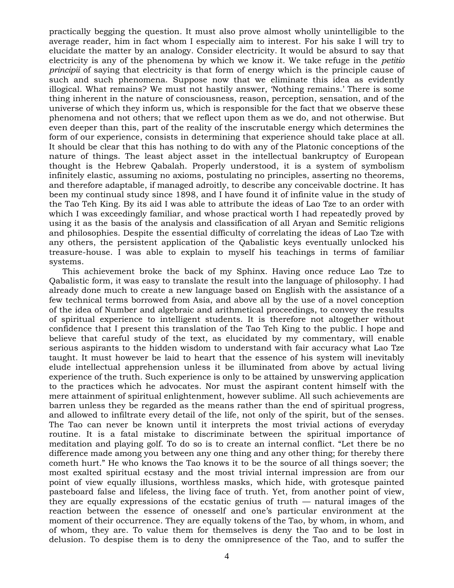practically begging the question. It must also prove almost wholly unintelligible to the average reader, him in fact whom I especially aim to interest. For his sake I will try to elucidate the matter by an analogy. Consider electricity. It would be absurd to say that electricity is any of the phenomena by which we know it. We take refuge in the *petitio principii* of saying that electricity is that form of energy which is the principle cause of such and such phenomena. Suppose now that we eliminate this idea as evidently illogical. What remains? We must not hastily answer, 'Nothing remains.' There is some thing inherent in the nature of consciousness, reason, perception, sensation, and of the universe of which they inform us, which is responsible for the fact that we observe these phenomena and not others; that we reflect upon them as we do, and not otherwise. But even deeper than this, part of the reality of the inscrutable energy which determines the form of our experience, consists in determining that experience should take place at all. It should be clear that this has nothing to do with any of the Platonic conceptions of the nature of things. The least abject asset in the intellectual bankruptcy of European thought is the Hebrew Qabalah. Properly understood, it is a system of symbolism infinitely elastic, assuming no axioms, postulating no principles, asserting no theorems, and therefore adaptable, if managed adroitly, to describe any conceivable doctrine. It has been my continual study since 1898, and I have found it of infinite value in the study of the Tao Teh King. By its aid I was able to attribute the ideas of Lao Tze to an order with which I was exceedingly familiar, and whose practical worth I had repeatedly proved by using it as the basis of the analysis and classification of all Aryan and Semitic religions and philosophies. Despite the essential difficulty of correlating the ideas of Lao Tze with any others, the persistent application of the Qabalistic keys eventually unlocked his treasure-house. I was able to explain to myself his teachings in terms of familiar systems.

This achievement broke the back of my Sphinx. Having once reduce Lao Tze to Qabalistic form, it was easy to translate the result into the language of philosophy. I had already done much to create a new language based on English with the assistance of a few technical terms borrowed from Asia, and above all by the use of a novel conception of the idea of Number and algebraic and arithmetical proceedings, to convey the results of spiritual experience to intelligent students. It is therefore not altogether without confidence that I present this translation of the Tao Teh King to the public. I hope and believe that careful study of the text, as elucidated by my commentary, will enable serious aspirants to the hidden wisdom to understand with fair accuracy what Lao Tze taught. It must however be laid to heart that the essence of his system will inevitably elude intellectual apprehension unless it be illuminated from above by actual living experience of the truth. Such experience is only to be attained by unswerving application to the practices which he advocates. Nor must the aspirant content himself with the mere attainment of spiritual enlightenment, however sublime. All such achievements are barren unless they be regarded as the means rather than the end of spiritual progress, and allowed to infiltrate every detail of the life, not only of the spirit, but of the senses. The Tao can never be known until it interprets the most trivial actions of everyday routine. It is a fatal mistake to discriminate between the spiritual importance of meditation and playing golf. To do so is to create an internal conflict. "Let there be no difference made among you between any one thing and any other thing; for thereby there cometh hurt." He who knows the Tao knows it to be the source of all things soever; the most exalted spiritual ecstasy and the most trivial internal impression are from our point of view equally illusions, worthless masks, which hide, with grotesque painted pasteboard false and lifeless, the living face of truth. Yet, from another point of view, they are equally expressions of the ecstatic genius of truth — natural images of the reaction between the essence of onesself and one's particular environment at the moment of their occurrence. They are equally tokens of the Tao, by whom, in whom, and of whom, they are. To value them for themselves is deny the Tao and to be lost in delusion. To despise them is to deny the omnipresence of the Tao, and to suffer the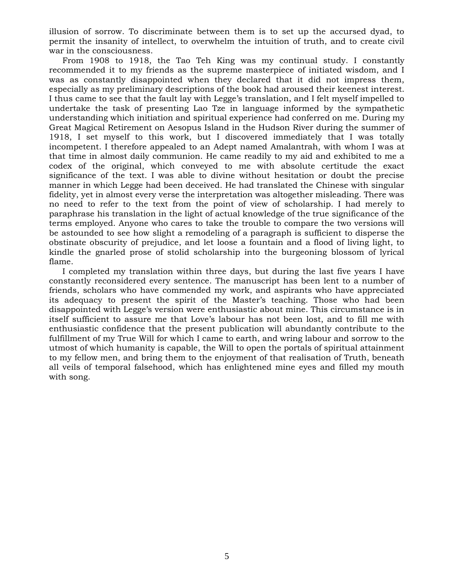illusion of sorrow. To discriminate between them is to set up the accursed dyad, to permit the insanity of intellect, to overwhelm the intuition of truth, and to create civil war in the consciousness.

From 1908 to 1918, the Tao Teh King was my continual study. I constantly recommended it to my friends as the supreme masterpiece of initiated wisdom, and I was as constantly disappointed when they declared that it did not impress them, especially as my preliminary descriptions of the book had aroused their keenest interest. I thus came to see that the fault lay with Legge's translation, and I felt myself impelled to undertake the task of presenting Lao Tze in language informed by the sympathetic understanding which initiation and spiritual experience had conferred on me. During my Great Magical Retirement on Aesopus Island in the Hudson River during the summer of 1918, I set myself to this work, but I discovered immediately that I was totally incompetent. I therefore appealed to an Adept named Amalantrah, with whom I was at that time in almost daily communion. He came readily to my aid and exhibited to me a codex of the original, which conveyed to me with absolute certitude the exact significance of the text. I was able to divine without hesitation or doubt the precise manner in which Legge had been deceived. He had translated the Chinese with singular fidelity, yet in almost every verse the interpretation was altogether misleading. There was no need to refer to the text from the point of view of scholarship. I had merely to paraphrase his translation in the light of actual knowledge of the true significance of the terms employed. Anyone who cares to take the trouble to compare the two versions will be astounded to see how slight a remodeling of a paragraph is sufficient to disperse the obstinate obscurity of prejudice, and let loose a fountain and a flood of living light, to kindle the gnarled prose of stolid scholarship into the burgeoning blossom of lyrical flame.

I completed my translation within three days, but during the last five years I have constantly reconsidered every sentence. The manuscript has been lent to a number of friends, scholars who have commended my work, and aspirants who have appreciated its adequacy to present the spirit of the Master's teaching. Those who had been disappointed with Legge's version were enthusiastic about mine. This circumstance is in itself sufficient to assure me that Love's labour has not been lost, and to fill me with enthusiastic confidence that the present publication will abundantly contribute to the fulfillment of my True Will for which I came to earth, and wring labour and sorrow to the utmost of which humanity is capable, the Will to open the portals of spiritual attainment to my fellow men, and bring them to the enjoyment of that realisation of Truth, beneath all veils of temporal falsehood, which has enlightened mine eyes and filled my mouth with song.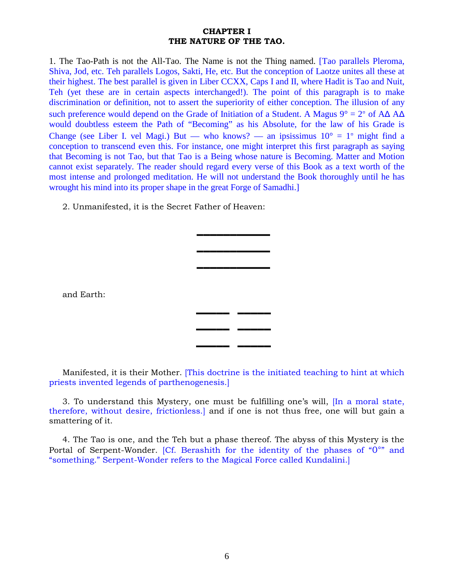# **CHAPTER I THE NATURE OF THE TAO.**

1. The Tao-Path is not the All-Tao. The Name is not the Thing named. [Tao parallels Pleroma, Shiva, Jod, etc. Teh parallels Logos, Sakti, He, etc. But the conception of Laotze unites all these at their highest. The best parallel is given in Liber CCXX, Caps I and II, where Hadit is Tao and Nuit, Teh (yet these are in certain aspects interchanged!). The point of this paragraph is to make discrimination or definition, not to assert the superiority of either conception. The illusion of any such preference would depend on the Grade of Initiation of a Student. A Magus  $9^{\circ} = 2^{\circ}$  of A $\Delta$  A $\Delta$ would doubtless esteem the Path of "Becoming" as his Absolute, for the law of his Grade is Change (see Liber I. vel Magi.) But — who knows? — an ipsissimus  $10^{\circ} = 1^{\circ}$  might find a conception to transcend even this. For instance, one might interpret this first paragraph as saying that Becoming is not Tao, but that Tao is a Being whose nature is Becoming. Matter and Motion cannot exist separately. The reader should regard every verse of this Book as a text worth of the most intense and prolonged meditation. He will not understand the Book thoroughly until he has wrought his mind into its proper shape in the great Forge of Samadhi.]

\_\_\_\_\_\_\_\_\_\_\_

\_\_\_\_\_\_\_\_\_\_\_

\_\_\_\_\_\_\_\_\_\_\_

\_\_\_\_\_ \_\_\_\_\_

\_\_\_\_\_ \_\_\_\_\_

\_\_\_\_\_ \_\_\_\_\_

2. Unmanifested, it is the Secret Father of Heaven:

and Earth:

Manifested, it is their Mother. [This doctrine is the initiated teaching to hint at which priests invented legends of parthenogenesis.]

3. To understand this Mystery, one must be fulfilling one's will, [In a moral state, therefore, without desire, frictionless.] and if one is not thus free, one will but gain a smattering of it.

4. The Tao is one, and the Teh but a phase thereof. The abyss of this Mystery is the Portal of Serpent-Wonder. [Cf. Berashith for the identity of the phases of "0°" and "something." Serpent-Wonder refers to the Magical Force called Kundalini.]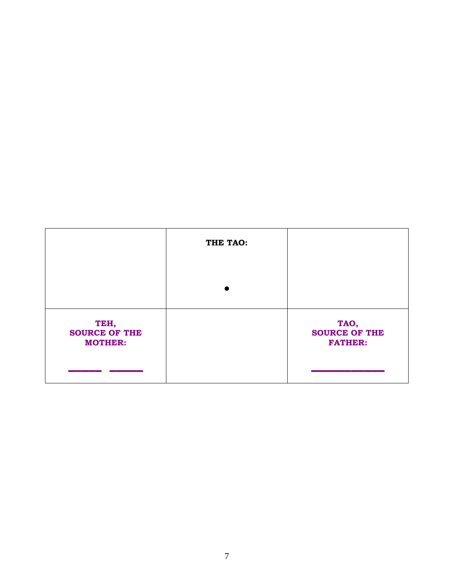|                                                | THE TAO: |                                                |
|------------------------------------------------|----------|------------------------------------------------|
|                                                |          |                                                |
| TEH,<br><b>SOURCE OF THE</b><br><b>MOTHER:</b> |          | TAO,<br><b>SOURCE OF THE</b><br><b>FATHER:</b> |
|                                                |          |                                                |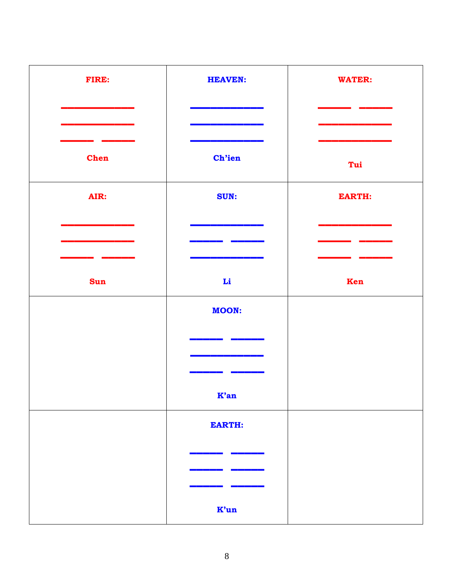| FIRE:       | <b>HEAVEN:</b> | <b>WATER:</b> |  |
|-------------|----------------|---------------|--|
|             |                |               |  |
|             |                |               |  |
| <b>Chen</b> | <b>Ch'ien</b>  | Tui           |  |
| AIR:        | <b>SUN:</b>    | <b>EARTH:</b> |  |
|             |                |               |  |
|             |                |               |  |
| Sun         | ${\bf Li}$     | Ken           |  |
|             | <b>MOON:</b>   |               |  |
|             |                |               |  |
|             |                |               |  |
|             | <b>K'an</b>    |               |  |
|             | <b>EARTH:</b>  |               |  |
|             |                |               |  |
|             |                |               |  |
|             | $K'$ un        |               |  |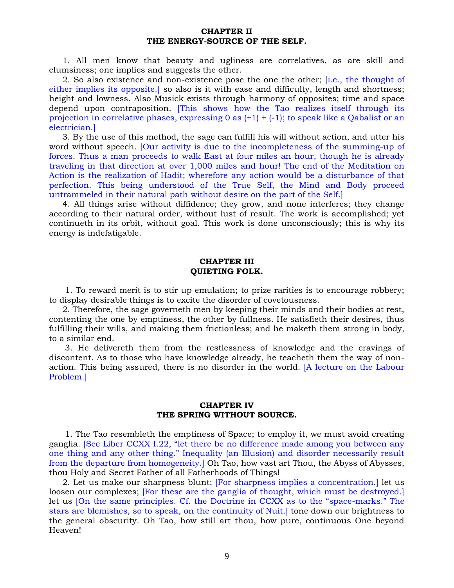#### **CHAPTER II THE ENERGY-SOURCE OF THE SELF.**

1. All men know that beauty and ugliness are correlatives, as are skill and clumsiness; one implies and suggests the other.

2. So also existence and non-existence pose the one the other; [i.e., the thought of either implies its opposite.] so also is it with ease and difficulty, length and shortness; height and lowness. Also Musick exists through harmony of opposites; time and space depend upon contraposition. [This shows how the Tao realizes itself through its projection in correlative phases, expressing  $0$  as  $(+1) + (-1)$ ; to speak like a Qabalist or an electrician.]

3. By the use of this method, the sage can fulfill his will without action, and utter his word without speech. [Our activity is due to the incompleteness of the summing-up of forces. Thus a man proceeds to walk East at four miles an hour, though he is already traveling in that direction at over 1,000 miles and hour! The end of the Meditation on Action is the realization of Hadit; wherefore any action would be a disturbance of that perfection. This being understood of the True Self, the Mind and Body proceed untrammeled in their natural path without desire on the part of the Self.]

4. All things arise without diffidence; they grow, and none interferes; they change according to their natural order, without lust of result. The work is accomplished; yet continueth in its orbit, without goal. This work is done unconsciously; this is why its energy is indefatigable.

# **CHAPTER III QUIETING FOLK.**

1. To reward merit is to stir up emulation; to prize rarities is to encourage robbery; to display desirable things is to excite the disorder of covetousness.

2. Therefore, the sage governeth men by keeping their minds and their bodies at rest, contenting the one by emptiness, the other by fullness. He satisfieth their desires, thus fulfilling their wills, and making them frictionless; and he maketh them strong in body, to a similar end.

3. He delivereth them from the restlessness of knowledge and the cravings of discontent. As to those who have knowledge already, he teacheth them the way of nonaction. This being assured, there is no disorder in the world. [A lecture on the Labour Problem.]

#### **CHAPTER IV THE SPRING WITHOUT SOURCE.**

1. The Tao resembleth the emptiness of Space; to employ it, we must avoid creating ganglia. [See Liber CCXX I.22, "let there be no difference made among you between any one thing and any other thing." Inequality (an Illusion) and disorder necessarily result from the departure from homogeneity.] Oh Tao, how vast art Thou, the Abyss of Abysses, thou Holy and Secret Father of all Fatherhoods of Things!

2. Let us make our sharpness blunt; [For sharpness implies a concentration.] let us loosen our complexes; [For these are the ganglia of thought, which must be destroyed.] let us [On the same principles. Cf. the Doctrine in CCXX as to the "space-marks." The stars are blemishes, so to speak, on the continuity of Nuit.] tone down our brightness to the general obscurity. Oh Tao, how still art thou, how pure, continuous One beyond Heaven!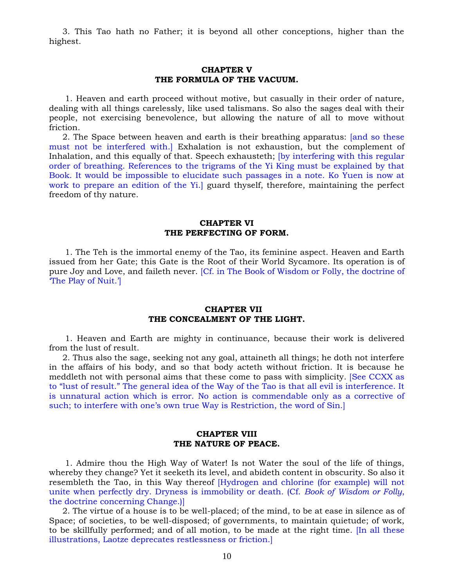3. This Tao hath no Father; it is beyond all other conceptions, higher than the highest.

#### **CHAPTER V THE FORMULA OF THE VACUUM.**

1. Heaven and earth proceed without motive, but casually in their order of nature, dealing with all things carelessly, like used talismans. So also the sages deal with their people, not exercising benevolence, but allowing the nature of all to move without friction.

2. The Space between heaven and earth is their breathing apparatus: [and so these must not be interfered with.] Exhalation is not exhaustion, but the complement of Inhalation, and this equally of that. Speech exhausteth; [by interfering with this regular order of breathing. References to the trigrams of the Yi King must be explained by that Book. It would be impossible to elucidate such passages in a note. Ko Yuen is now at work to prepare an edition of the Yi.] guard thyself, therefore, maintaining the perfect freedom of thy nature.

#### **CHAPTER VI THE PERFECTING OF FORM.**

1. The Teh is the immortal enemy of the Tao, its feminine aspect. Heaven and Earth issued from her Gate; this Gate is the Root of their World Sycamore. Its operation is of pure Joy and Love, and faileth never. [Cf. in The Book of Wisdom or Folly, the doctrine of 'The Play of Nuit.']

#### **CHAPTER VII THE CONCEALMENT OF THE LIGHT.**

1. Heaven and Earth are mighty in continuance, because their work is delivered from the lust of result.

2. Thus also the sage, seeking not any goal, attaineth all things; he doth not interfere in the affairs of his body, and so that body acteth without friction. It is because he meddleth not with personal aims that these come to pass with simplicity. [See CCXX as to "lust of result." The general idea of the Way of the Tao is that all evil is interference. It is unnatural action which is error. No action is commendable only as a corrective of such; to interfere with one's own true Way is Restriction, the word of Sin.]

#### **CHAPTER VIII THE NATURE OF PEACE.**

1. Admire thou the High Way of Water! Is not Water the soul of the life of things, whereby they change? Yet it seeketh its level, and abideth content in obscurity. So also it resembleth the Tao, in this Way thereof [Hydrogen and chlorine (for example) will not unite when perfectly dry. Dryness is immobility or death. (Cf. *Book of Wisdom or Folly*, the doctrine concerning Change.)]

2. The virtue of a house is to be well-placed; of the mind, to be at ease in silence as of Space; of societies, to be well-disposed; of governments, to maintain quietude; of work, to be skillfully performed; and of all motion, to be made at the right time. [In all these illustrations, Laotze deprecates restlessness or friction.]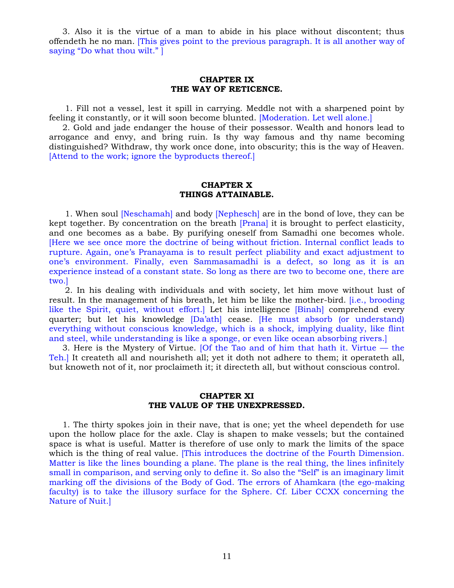3. Also it is the virtue of a man to abide in his place without discontent; thus offendeth he no man. [This gives point to the previous paragraph. It is all another way of saying "Do what thou wilt." ]

#### **CHAPTER IX THE WAY OF RETICENCE.**

1. Fill not a vessel, lest it spill in carrying. Meddle not with a sharpened point by feeling it constantly, or it will soon become blunted. [Moderation. Let well alone.]

2. Gold and jade endanger the house of their possessor. Wealth and honors lead to arrogance and envy, and bring ruin. Is thy way famous and thy name becoming distinguished? Withdraw, thy work once done, into obscurity; this is the way of Heaven. [Attend to the work; ignore the byproducts thereof.]

#### **CHAPTER X THINGS ATTAINABLE.**

1. When soul [Neschamah] and body [Nephesch] are in the bond of love, they can be kept together. By concentration on the breath [Prana] it is brought to perfect elasticity, and one becomes as a babe. By purifying oneself from Samadhi one becomes whole. [Here we see once more the doctrine of being without friction. Internal conflict leads to rupture. Again, one's Pranayama is to result perfect pliability and exact adjustment to one's environment. Finally, even Sammasamadhi is a defect, so long as it is an experience instead of a constant state. So long as there are two to become one, there are two.]

2. In his dealing with individuals and with society, let him move without lust of result. In the management of his breath, let him be like the mother-bird. [i.e., brooding like the Spirit, quiet, without effort.] Let his intelligence [Binah] comprehend every quarter; but let his knowledge [Da'ath] cease. [He must absorb (or understand) everything without conscious knowledge, which is a shock, implying duality, like flint and steel, while understanding is like a sponge, or even like ocean absorbing rivers.]

3. Here is the Mystery of Virtue. [Of the Tao and of him that hath it. Virtue — the Teh.] It createth all and nourisheth all; yet it doth not adhere to them; it operateth all, but knoweth not of it, nor proclaimeth it; it directeth all, but without conscious control.

#### **CHAPTER XI THE VALUE OF THE UNEXPRESSED.**

1. The thirty spokes join in their nave, that is one; yet the wheel dependeth for use upon the hollow place for the axle. Clay is shapen to make vessels; but the contained space is what is useful. Matter is therefore of use only to mark the limits of the space which is the thing of real value. [This introduces the doctrine of the Fourth Dimension. Matter is like the lines bounding a plane. The plane is the real thing, the lines infinitely small in comparison, and serving only to define it. So also the "Self" is an imaginary limit marking off the divisions of the Body of God. The errors of Ahamkara (the ego-making faculty) is to take the illusory surface for the Sphere. Cf. Liber CCXX concerning the Nature of Nuit.]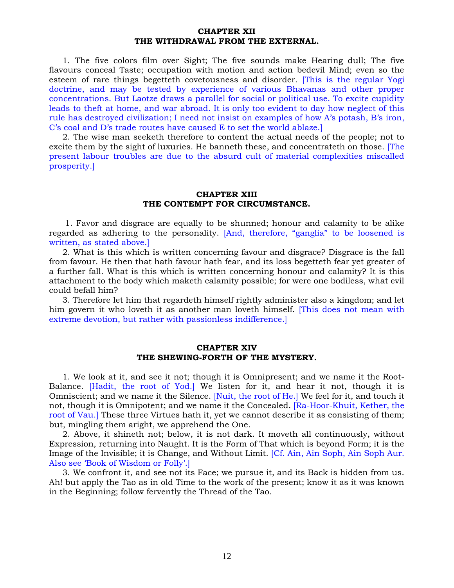### **CHAPTER XII THE WITHDRAWAL FROM THE EXTERNAL.**

1. The five colors film over Sight; The five sounds make Hearing dull; The five flavours conceal Taste; occupation with motion and action bedevil Mind; even so the esteem of rare things begetteth covetousness and disorder. [This is the regular Yogi doctrine, and may be tested by experience of various Bhavanas and other proper concentrations. But Laotze draws a parallel for social or political use. To excite cupidity leads to theft at home, and war abroad. It is only too evident to day how neglect of this rule has destroyed civilization; I need not insist on examples of how A's potash, B's iron, C's coal and D's trade routes have caused E to set the world ablaze.]

2. The wise man seeketh therefore to content the actual needs of the people; not to excite them by the sight of luxuries. He banneth these, and concentrateth on those. [The present labour troubles are due to the absurd cult of material complexities miscalled prosperity.]

# **CHAPTER XIII THE CONTEMPT FOR CIRCUMSTANCE.**

1. Favor and disgrace are equally to be shunned; honour and calamity to be alike regarded as adhering to the personality. [And, therefore, "ganglia" to be loosened is written, as stated above.]

2. What is this which is written concerning favour and disgrace? Disgrace is the fall from favour. He then that hath favour hath fear, and its loss begetteth fear yet greater of a further fall. What is this which is written concerning honour and calamity? It is this attachment to the body which maketh calamity possible; for were one bodiless, what evil could befall him?

3. Therefore let him that regardeth himself rightly administer also a kingdom; and let him govern it who loveth it as another man loveth himself. [This does not mean with extreme devotion, but rather with passionless indifference.]

# **CHAPTER XIV THE SHEWING-FORTH OF THE MYSTERY.**

1. We look at it, and see it not; though it is Omnipresent; and we name it the Root-Balance. [Hadit, the root of Yod.] We listen for it, and hear it not, though it is Omniscient; and we name it the Silence. [Nuit, the root of He.] We feel for it, and touch it not, though it is Omnipotent; and we name it the Concealed. [Ra-Hoor-Khuit, Kether, the root of Vau.] These three Virtues hath it, yet we cannot describe it as consisting of them; but, mingling them aright, we apprehend the One.

2. Above, it shineth not; below, it is not dark. It moveth all continuously, without Expression, returning into Naught. It is the Form of That which is beyond Form; it is the Image of the Invisible; it is Change, and Without Limit. [Cf. Ain, Ain Soph, Ain Soph Aur. Also see 'Book of Wisdom or Folly'.]

3. We confront it, and see not its Face; we pursue it, and its Back is hidden from us. Ah! but apply the Tao as in old Time to the work of the present; know it as it was known in the Beginning; follow fervently the Thread of the Tao.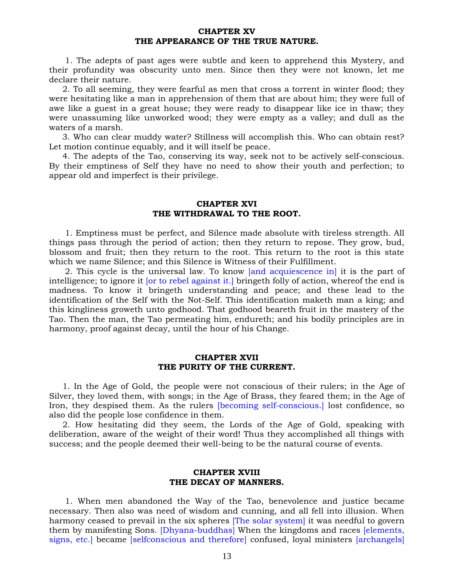# **CHAPTER XV THE APPEARANCE OF THE TRUE NATURE.**

1. The adepts of past ages were subtle and keen to apprehend this Mystery, and their profundity was obscurity unto men. Since then they were not known, let me declare their nature.

2. To all seeming, they were fearful as men that cross a torrent in winter flood; they were hesitating like a man in apprehension of them that are about him; they were full of awe like a guest in a great house; they were ready to disappear like ice in thaw; they were unassuming like unworked wood; they were empty as a valley; and dull as the waters of a marsh.

3. Who can clear muddy water? Stillness will accomplish this. Who can obtain rest? Let motion continue equably, and it will itself be peace.

4. The adepts of the Tao, conserving its way, seek not to be actively self-conscious. By their emptiness of Self they have no need to show their youth and perfection; to appear old and imperfect is their privilege.

# **CHAPTER XVI THE WITHDRAWAL TO THE ROOT.**

1. Emptiness must be perfect, and Silence made absolute with tireless strength. All things pass through the period of action; then they return to repose. They grow, bud, blossom and fruit; then they return to the root. This return to the root is this state which we name Silence; and this Silence is Witness of their Fulfillment.

2. This cycle is the universal law. To know [and acquiescence in] it is the part of intelligence; to ignore it [or to rebel against it.] bringeth folly of action, whereof the end is madness. To know it bringeth understanding and peace; and these lead to the identification of the Self with the Not-Self. This identification maketh man a king; and this kingliness groweth unto godhood. That godhood beareth fruit in the mastery of the Tao. Then the man, the Tao permeating him, endureth; and his bodily principles are in harmony, proof against decay, until the hour of his Change.

#### **CHAPTER XVII THE PURITY OF THE CURRENT.**

1. In the Age of Gold, the people were not conscious of their rulers; in the Age of Silver, they loved them, with songs; in the Age of Brass, they feared them; in the Age of Iron, they despised them. As the rulers [becoming self-conscious.] lost confidence, so also did the people lose confidence in them.

2. How hesitating did they seem, the Lords of the Age of Gold, speaking with deliberation, aware of the weight of their word! Thus they accomplished all things with success; and the people deemed their well-being to be the natural course of events.

#### **CHAPTER XVIII THE DECAY OF MANNERS.**

1. When men abandoned the Way of the Tao, benevolence and justice became necessary. Then also was need of wisdom and cunning, and all fell into illusion. When harmony ceased to prevail in the six spheres [The solar system] it was needful to govern them by manifesting Sons. [Dhyana-buddhas] When the kingdoms and races [elements, signs, etc.] became [selfconscious and therefore] confused, loyal ministers [archangels]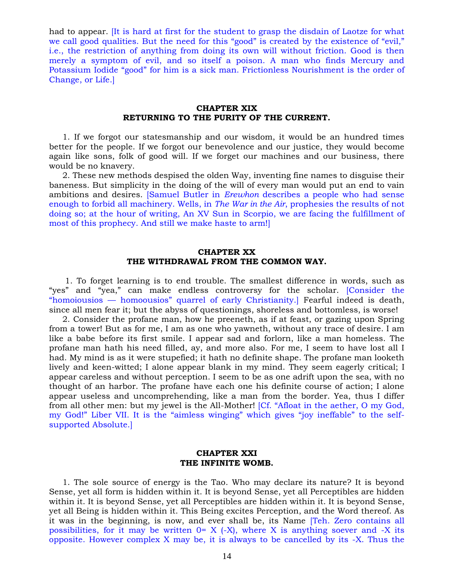had to appear. [It is hard at first for the student to grasp the disdain of Laotze for what we call good qualities. But the need for this "good" is created by the existence of "evil," i.e., the restriction of anything from doing its own will without friction. Good is then merely a symptom of evil, and so itself a poison. A man who finds Mercury and Potassium Iodide "good" for him is a sick man. Frictionless Nourishment is the order of Change, or Life.]

#### **CHAPTER XIX RETURNING TO THE PURITY OF THE CURRENT.**

1. If we forgot our statesmanship and our wisdom, it would be an hundred times better for the people. If we forgot our benevolence and our justice, they would become again like sons, folk of good will. If we forget our machines and our business, there would be no knavery.

2. These new methods despised the olden Way, inventing fine names to disguise their baneness. But simplicity in the doing of the will of every man would put an end to vain ambitions and desires. [Samuel Butler in *Erewhon* describes a people who had sense enough to forbid all machinery. Wells, in *The War in the Air*, prophesies the results of not doing so; at the hour of writing, An XV Sun in Scorpio, we are facing the fulfillment of most of this prophecy. And still we make haste to arm!]

#### **CHAPTER XX THE WITHDRAWAL FROM THE COMMON WAY.**

1. To forget learning is to end trouble. The smallest difference in words, such as "yes" and "yea," can make endless controversy for the scholar. [Consider the "homoiousios — homoousios" quarrel of early Christianity.] Fearful indeed is death, since all men fear it; but the abyss of questionings, shoreless and bottomless, is worse!

2. Consider the profane man, how he preeneth, as if at feast, or gazing upon Spring from a tower! But as for me, I am as one who yawneth, without any trace of desire. I am like a babe before its first smile. I appear sad and forlorn, like a man homeless. The profane man hath his need filled, ay, and more also. For me, I seem to have lost all I had. My mind is as it were stupefied; it hath no definite shape. The profane man looketh lively and keen-witted; I alone appear blank in my mind. They seem eagerly critical; I appear careless and without perception. I seem to be as one adrift upon the sea, with no thought of an harbor. The profane have each one his definite course of action; I alone appear useless and uncomprehending, like a man from the border. Yea, thus I differ from all other men: but my jewel is the All-Mother! [Cf. "Afloat in the aether, O my God, my God!" Liber VII. It is the "aimless winging" which gives "joy ineffable" to the selfsupported Absolute.]

## **CHAPTER XXI THE INFINITE WOMB.**

1. The sole source of energy is the Tao. Who may declare its nature? It is beyond Sense, yet all form is hidden within it. It is beyond Sense, yet all Perceptibles are hidden within it. It is beyond Sense, yet all Perceptibles are hidden within it. It is beyond Sense, yet all Being is hidden within it. This Being excites Perception, and the Word thereof. As it was in the beginning, is now, and ever shall be, its Name [Teh. Zero contains all possibilities, for it may be written  $0= X$  (-X), where X is anything soever and -X its opposite. However complex X may be, it is always to be cancelled by its -X. Thus the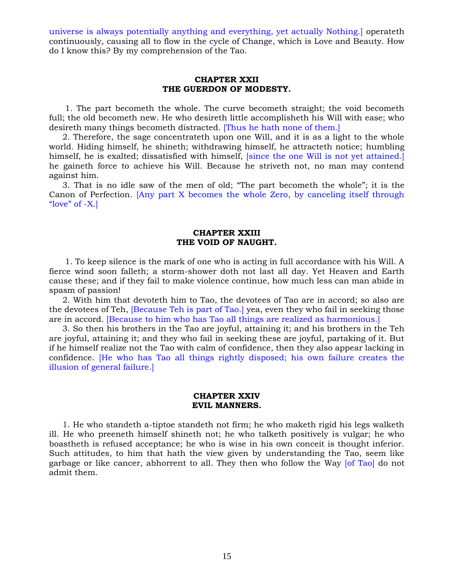universe is always potentially anything and everything, yet actually Nothing.] operateth continuously, causing all to flow in the cycle of Change, which is Love and Beauty. How do I know this? By my comprehension of the Tao.

# **CHAPTER XXII THE GUERDON OF MODESTY.**

1. The part becometh the whole. The curve becometh straight; the void becometh full; the old becometh new. He who desireth little accomplisheth his Will with ease; who desireth many things becometh distracted. [Thus he hath none of them.]

2. Therefore, the sage concentrateth upon one Will, and it is as a light to the whole world. Hiding himself, he shineth; withdrawing himself, he attracteth notice; humbling himself, he is exalted; dissatisfied with himself, *since the one Will is not yet attained.* he gaineth force to achieve his Will. Because he striveth not, no man may contend against him.

3. That is no idle saw of the men of old; "The part becometh the whole"; it is the Canon of Perfection. [Any part X becomes the whole Zero, by canceling itself through "love" of  $-X$ .]

# **CHAPTER XXIII THE VOID OF NAUGHT.**

1. To keep silence is the mark of one who is acting in full accordance with his Will. A fierce wind soon falleth; a storm-shower doth not last all day. Yet Heaven and Earth cause these; and if they fail to make violence continue, how much less can man abide in spasm of passion!

2. With him that devoteth him to Tao, the devotees of Tao are in accord; so also are the devotees of Teh, [Because Teh is part of Tao.] yea, even they who fail in seeking those are in accord. [Because to him who has Tao all things are realized as harmonious.]

3. So then his brothers in the Tao are joyful, attaining it; and his brothers in the Teh are joyful, attaining it; and they who fail in seeking these are joyful, partaking of it. But if he himself realize not the Tao with calm of confidence, then they also appear lacking in confidence. [He who has Tao all things rightly disposed; his own failure creates the illusion of general failure.]

#### **CHAPTER XXIV EVIL MANNERS.**

1. He who standeth a-tiptoe standeth not firm; he who maketh rigid his legs walketh ill. He who preeneth himself shineth not; he who talketh positively is vulgar; he who boastheth is refused acceptance; he who is wise in his own conceit is thought inferior. Such attitudes, to him that hath the view given by understanding the Tao, seem like garbage or like cancer, abhorrent to all. They then who follow the Way [of Tao] do not admit them.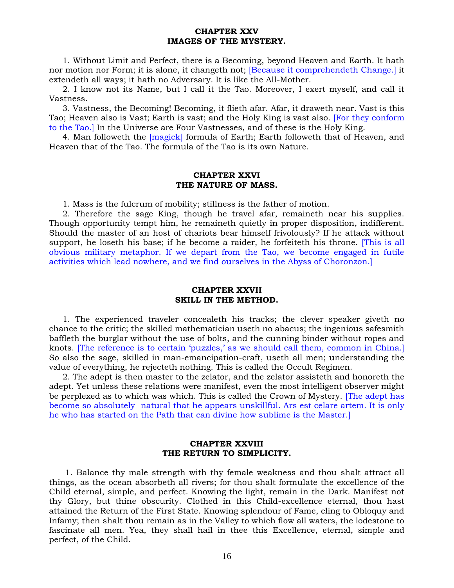### **CHAPTER XXV IMAGES OF THE MYSTERY.**

1. Without Limit and Perfect, there is a Becoming, beyond Heaven and Earth. It hath nor motion nor Form; it is alone, it changeth not; [Because it comprehendeth Change.] it extendeth all ways; it hath no Adversary. It is like the All-Mother.

2. I know not its Name, but I call it the Tao. Moreover, I exert myself, and call it Vastness.

3. Vastness, the Becoming! Becoming, it flieth afar. Afar, it draweth near. Vast is this Tao; Heaven also is Vast; Earth is vast; and the Holy King is vast also. [For they conform to the Tao.] In the Universe are Four Vastnesses, and of these is the Holy King.

4. Man followeth the [magick] formula of Earth; Earth followeth that of Heaven, and Heaven that of the Tao. The formula of the Tao is its own Nature.

# **CHAPTER XXVI THE NATURE OF MASS.**

1. Mass is the fulcrum of mobility; stillness is the father of motion.

2. Therefore the sage King, though he travel afar, remaineth near his supplies. Though opportunity tempt him, he remaineth quietly in proper disposition, indifferent. Should the master of an host of chariots bear himself frivolously? If he attack without support, he loseth his base; if he become a raider, he forfeiteth his throne. [This is all obvious military metaphor. If we depart from the Tao, we become engaged in futile activities which lead nowhere, and we find ourselves in the Abyss of Choronzon.]

# **CHAPTER XXVII SKILL IN THE METHOD.**

1. The experienced traveler concealeth his tracks; the clever speaker giveth no chance to the critic; the skilled mathematician useth no abacus; the ingenious safesmith baffleth the burglar without the use of bolts, and the cunning binder without ropes and knots. [The reference is to certain 'puzzles,' as we should call them, common in China.] So also the sage, skilled in man-emancipation-craft, useth all men; understanding the value of everything, he rejecteth nothing. This is called the Occult Regimen.

2. The adept is then master to the zelator, and the zelator assisteth and honoreth the adept. Yet unless these relations were manifest, even the most intelligent observer might be perplexed as to which was which. This is called the Crown of Mystery. [The adept has become so absolutely natural that he appears unskillful. Ars est celare artem. It is only he who has started on the Path that can divine how sublime is the Master.]

# **CHAPTER XXVIII THE RETURN TO SIMPLICITY.**

1. Balance thy male strength with thy female weakness and thou shalt attract all things, as the ocean absorbeth all rivers; for thou shalt formulate the excellence of the Child eternal, simple, and perfect. Knowing the light, remain in the Dark. Manifest not thy Glory, but thine obscurity. Clothed in this Child-excellence eternal, thou hast attained the Return of the First State. Knowing splendour of Fame, cling to Obloquy and Infamy; then shalt thou remain as in the Valley to which flow all waters, the lodestone to fascinate all men. Yea, they shall hail in thee this Excellence, eternal, simple and perfect, of the Child.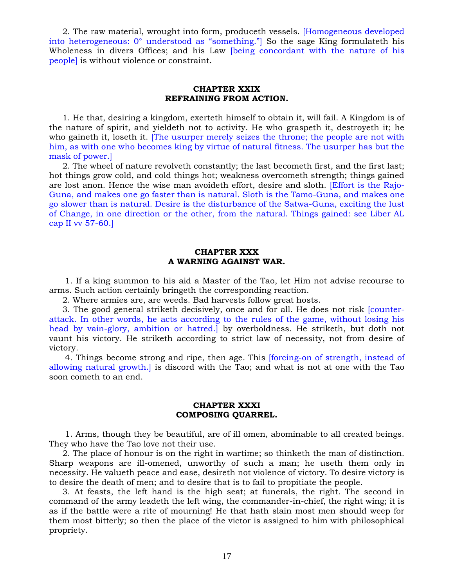2. The raw material, wrought into form, produceth vessels. [Homogeneous developed into heterogeneous: 0° understood as "something."] So the sage King formulateth his Wholeness in divers Offices; and his Law [being concordant with the nature of his people] is without violence or constraint.

# **CHAPTER XXIX REFRAINING FROM ACTION.**

1. He that, desiring a kingdom, exerteth himself to obtain it, will fail. A Kingdom is of the nature of spirit, and yieldeth not to activity. He who graspeth it, destroyeth it; he who gaineth it, loseth it. [The usurper merely seizes the throne; the people are not with him, as with one who becomes king by virtue of natural fitness. The usurper has but the mask of power.]

2. The wheel of nature revolveth constantly; the last becometh first, and the first last; hot things grow cold, and cold things hot; weakness overcometh strength; things gained are lost anon. Hence the wise man avoideth effort, desire and sloth. [Effort is the Rajo-Guna, and makes one go faster than is natural. Sloth is the Tamo-Guna, and makes one go slower than is natural. Desire is the disturbance of the Satwa-Guna, exciting the lust of Change, in one direction or the other, from the natural. Things gained: see Liber AL cap II vv 57-60.]

# **CHAPTER XXX A WARNING AGAINST WAR.**

1. If a king summon to his aid a Master of the Tao, let Him not advise recourse to arms. Such action certainly bringeth the corresponding reaction.

2. Where armies are, are weeds. Bad harvests follow great hosts.

3. The good general striketh decisively, once and for all. He does not risk [counterattack. In other words, he acts according to the rules of the game, without losing his head by vain-glory, ambition or hatred.] by overboldness. He striketh, but doth not vaunt his victory. He striketh according to strict law of necessity, not from desire of victory.

4. Things become strong and ripe, then age. This [forcing-on of strength, instead of allowing natural growth.] is discord with the Tao; and what is not at one with the Tao soon cometh to an end.

#### **CHAPTER XXXI COMPOSING QUARREL.**

1. Arms, though they be beautiful, are of ill omen, abominable to all created beings. They who have the Tao love not their use.

2. The place of honour is on the right in wartime; so thinketh the man of distinction. Sharp weapons are ill-omened, unworthy of such a man; he useth them only in necessity. He valueth peace and ease, desireth not violence of victory. To desire victory is to desire the death of men; and to desire that is to fail to propitiate the people.

3. At feasts, the left hand is the high seat; at funerals, the right. The second in command of the army leadeth the left wing, the commander-in-chief, the right wing; it is as if the battle were a rite of mourning! He that hath slain most men should weep for them most bitterly; so then the place of the victor is assigned to him with philosophical propriety.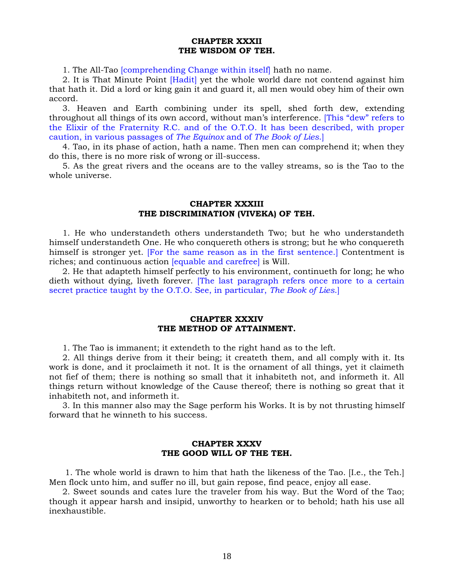#### **CHAPTER XXXII THE WISDOM OF TEH.**

1. The All-Tao [comprehending Change within itself] hath no name.

2. It is That Minute Point [Hadit] yet the whole world dare not contend against him that hath it. Did a lord or king gain it and guard it, all men would obey him of their own accord.

3. Heaven and Earth combining under its spell, shed forth dew, extending throughout all things of its own accord, without man's interference. [This "dew" refers to the Elixir of the Fraternity R.C. and of the O.T.O. It has been described, with proper caution, in various passages of *The Equinox* and of *The Book of Lies*.]

4. Tao, in its phase of action, hath a name. Then men can comprehend it; when they do this, there is no more risk of wrong or ill-success.

5. As the great rivers and the oceans are to the valley streams, so is the Tao to the whole universe.

#### **CHAPTER XXXIII THE DISCRIMINATION (VIVEKA) OF TEH.**

1. He who understandeth others understandeth Two; but he who understandeth himself understandeth One. He who conquereth others is strong; but he who conquereth himself is stronger yet. [For the same reason as in the first sentence.] Contentment is riches; and continuous action [equable and carefree] is Will.

2. He that adapteth himself perfectly to his environment, continueth for long; he who dieth without dying, liveth forever. [The last paragraph refers once more to a certain secret practice taught by the O.T.O. See, in particular, *The Book of Lies*.]

# **CHAPTER XXXIV THE METHOD OF ATTAINMENT.**

1. The Tao is immanent; it extendeth to the right hand as to the left.

2. All things derive from it their being; it createth them, and all comply with it. Its work is done, and it proclaimeth it not. It is the ornament of all things, yet it claimeth not fief of them; there is nothing so small that it inhabiteth not, and informeth it. All things return without knowledge of the Cause thereof; there is nothing so great that it inhabiteth not, and informeth it.

3. In this manner also may the Sage perform his Works. It is by not thrusting himself forward that he winneth to his success.

# **CHAPTER XXXV THE GOOD WILL OF THE TEH.**

1. The whole world is drawn to him that hath the likeness of the Tao. [I.e., the Teh.] Men flock unto him, and suffer no ill, but gain repose, find peace, enjoy all ease.

2. Sweet sounds and cates lure the traveler from his way. But the Word of the Tao; though it appear harsh and insipid, unworthy to hearken or to behold; hath his use all inexhaustible.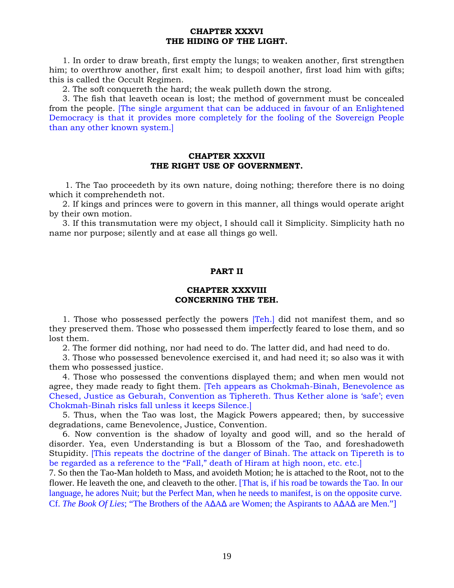#### **CHAPTER XXXVI THE HIDING OF THE LIGHT.**

1. In order to draw breath, first empty the lungs; to weaken another, first strengthen him; to overthrow another, first exalt him; to despoil another, first load him with gifts; this is called the Occult Regimen.

2. The soft conquereth the hard; the weak pulleth down the strong.

3. The fish that leaveth ocean is lost; the method of government must be concealed from the people. [The single argument that can be adduced in favour of an Enlightened Democracy is that it provides more completely for the fooling of the Sovereign People than any other known system.]

# **CHAPTER XXXVII THE RIGHT USE OF GOVERNMENT.**

1. The Tao proceedeth by its own nature, doing nothing; therefore there is no doing which it comprehendeth not.

2. If kings and princes were to govern in this manner, all things would operate aright by their own motion.

3. If this transmutation were my object, I should call it Simplicity. Simplicity hath no name nor purpose; silently and at ease all things go well.

# **PART II**

# **CHAPTER XXXVIII CONCERNING THE TEH.**

1. Those who possessed perfectly the powers [Teh.] did not manifest them, and so they preserved them. Those who possessed them imperfectly feared to lose them, and so lost them.

2. The former did nothing, nor had need to do. The latter did, and had need to do.

3. Those who possessed benevolence exercised it, and had need it; so also was it with them who possessed justice.

4. Those who possessed the conventions displayed them; and when men would not agree, they made ready to fight them. [Teh appears as Chokmah-Binah, Benevolence as Chesed, Justice as Geburah, Convention as Tiphereth. Thus Kether alone is 'safe'; even Chokmah-Binah risks fall unless it keeps Silence.]

5. Thus, when the Tao was lost, the Magick Powers appeared; then, by successive degradations, came Benevolence, Justice, Convention.

6. Now convention is the shadow of loyalty and good will, and so the herald of disorder. Yea, even Understanding is but a Blossom of the Tao, and foreshadoweth Stupidity. [This repeats the doctrine of the danger of Binah. The attack on Tipereth is to be regarded as a reference to the "Fall," death of Hiram at high noon, etc. etc.

7. So then the Tao-Man holdeth to Mass, and avoideth Motion; he is attached to the Root, not to the flower. He leaveth the one, and cleaveth to the other. [That is, if his road be towards the Tao. In our language, he adores Nuit; but the Perfect Man, when he needs to manifest, is on the opposite curve. Cf. *The Book Of Lies*; "The Brothers of the AΔAΔ are Women; the Aspirants to AΔAΔ are Men."]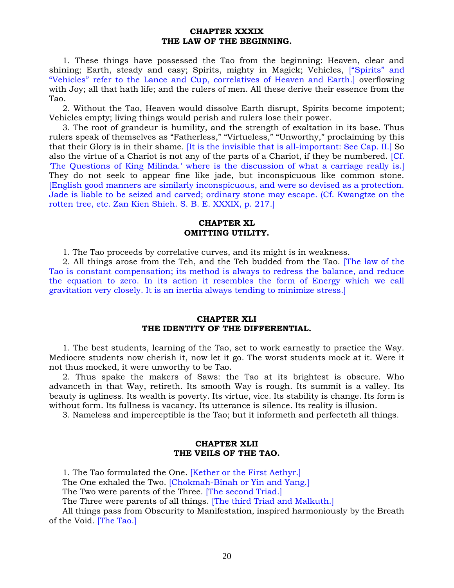#### **CHAPTER XXXIX THE LAW OF THE BEGINNING.**

1. These things have possessed the Tao from the beginning: Heaven, clear and shining; Earth, steady and easy; Spirits, mighty in Magick; Vehicles, ["Spirits" and "Vehicles" refer to the Lance and Cup, correlatives of Heaven and Earth.] overflowing with Joy; all that hath life; and the rulers of men. All these derive their essence from the Tao.

2. Without the Tao, Heaven would dissolve Earth disrupt, Spirits become impotent; Vehicles empty; living things would perish and rulers lose their power.

3. The root of grandeur is humility, and the strength of exaltation in its base. Thus rulers speak of themselves as "Fatherless," "Virtueless," "Unworthy," proclaiming by this that their Glory is in their shame. [It is the invisible that is all-important: See Cap. II.] So also the virtue of a Chariot is not any of the parts of a Chariot, if they be numbered. [Cf. 'The Questions of King Milinda.' where is the discussion of what a carriage really is.] They do not seek to appear fine like jade, but inconspicuous like common stone. [English good manners are similarly inconspicuous, and were so devised as a protection. Jade is liable to be seized and carved; ordinary stone may escape. (Cf. Kwangtze on the rotten tree, etc. Zan Kien Shieh. S. B. E. XXXIX, p. 217.]

# **CHAPTER XL OMITTING UTILITY.**

1. The Tao proceeds by correlative curves, and its might is in weakness.

2. All things arose from the Teh, and the Teh budded from the Tao. [The law of the Tao is constant compensation; its method is always to redress the balance, and reduce the equation to zero. In its action it resembles the form of Energy which we call gravitation very closely. It is an inertia always tending to minimize stress.]

# **CHAPTER XLI THE IDENTITY OF THE DIFFERENTIAL.**

1. The best students, learning of the Tao, set to work earnestly to practice the Way. Mediocre students now cherish it, now let it go. The worst students mock at it. Were it not thus mocked, it were unworthy to be Tao.

2. Thus spake the makers of Saws: the Tao at its brightest is obscure. Who advanceth in that Way, retireth. Its smooth Way is rough. Its summit is a valley. Its beauty is ugliness. Its wealth is poverty. Its virtue, vice. Its stability is change. Its form is without form. Its fullness is vacancy. Its utterance is silence. Its reality is illusion.

3. Nameless and imperceptible is the Tao; but it informeth and perfecteth all things.

# **CHAPTER XLII THE VEILS OF THE TAO.**

1. The Tao formulated the One. [Kether or the First Aethyr.]

The One exhaled the Two. [Chokmah-Binah or Yin and Yang.]

The Two were parents of the Three. [The second Triad.]

The Three were parents of all things. [The third Triad and Malkuth.]

All things pass from Obscurity to Manifestation, inspired harmoniously by the Breath of the Void. [The Tao.]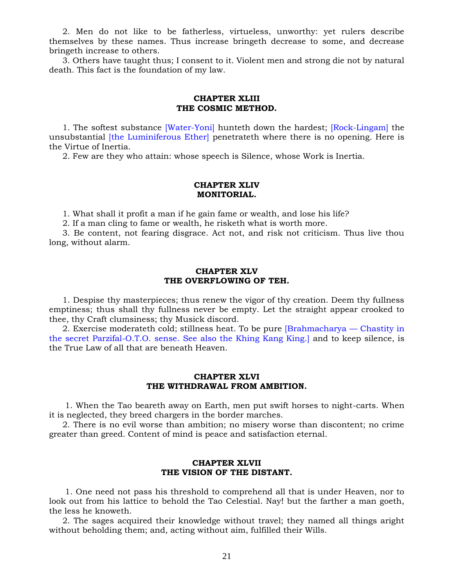2. Men do not like to be fatherless, virtueless, unworthy: yet rulers describe themselves by these names. Thus increase bringeth decrease to some, and decrease bringeth increase to others.

3. Others have taught thus; I consent to it. Violent men and strong die not by natural death. This fact is the foundation of my law.

# **CHAPTER XLIII THE COSMIC METHOD.**

1. The softest substance [Water-Yoni] hunteth down the hardest; [Rock-Lingam] the unsubstantial [the Luminiferous Ether] penetrateth where there is no opening. Here is the Virtue of Inertia.

2. Few are they who attain: whose speech is Silence, whose Work is Inertia.

#### **CHAPTER XLIV MONITORIAL.**

1. What shall it profit a man if he gain fame or wealth, and lose his life?

2. If a man cling to fame or wealth, he risketh what is worth more.

3. Be content, not fearing disgrace. Act not, and risk not criticism. Thus live thou long, without alarm.

#### **CHAPTER XLV THE OVERFLOWING OF TEH.**

1. Despise thy masterpieces; thus renew the vigor of thy creation. Deem thy fullness emptiness; thus shall thy fullness never be empty. Let the straight appear crooked to thee, thy Craft clumsiness; thy Musick discord.

2. Exercise moderateth cold; stillness heat. To be pure [Brahmacharya — Chastity in the secret Parzifal-O.T.O. sense. See also the Khing Kang King.] and to keep silence, is the True Law of all that are beneath Heaven.

#### **CHAPTER XLVI THE WITHDRAWAL FROM AMBITION.**

1. When the Tao beareth away on Earth, men put swift horses to night-carts. When it is neglected, they breed chargers in the border marches.

2. There is no evil worse than ambition; no misery worse than discontent; no crime greater than greed. Content of mind is peace and satisfaction eternal.

# **CHAPTER XLVII THE VISION OF THE DISTANT.**

1. One need not pass his threshold to comprehend all that is under Heaven, nor to look out from his lattice to behold the Tao Celestial. Nay! but the farther a man goeth, the less he knoweth.

2. The sages acquired their knowledge without travel; they named all things aright without beholding them; and, acting without aim, fulfilled their Wills.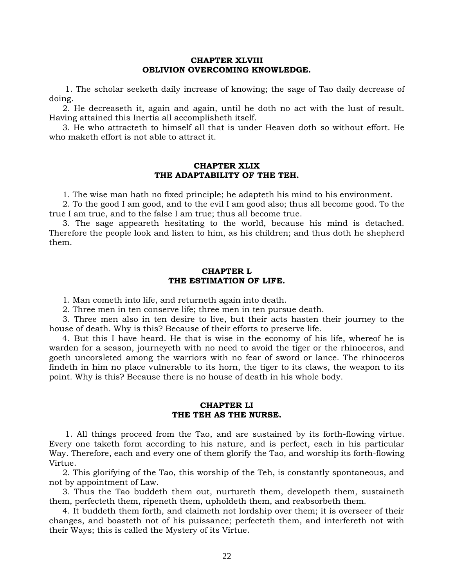# **CHAPTER XLVIII OBLIVION OVERCOMING KNOWLEDGE.**

1. The scholar seeketh daily increase of knowing; the sage of Tao daily decrease of doing.

2. He decreaseth it, again and again, until he doth no act with the lust of result. Having attained this Inertia all accomplisheth itself.

3. He who attracteth to himself all that is under Heaven doth so without effort. He who maketh effort is not able to attract it.

# **CHAPTER XLIX THE ADAPTABILITY OF THE TEH.**

1. The wise man hath no fixed principle; he adapteth his mind to his environment.

2. To the good I am good, and to the evil I am good also; thus all become good. To the true I am true, and to the false I am true; thus all become true.

3. The sage appeareth hesitating to the world, because his mind is detached. Therefore the people look and listen to him, as his children; and thus doth he shepherd them.

#### **CHAPTER L THE ESTIMATION OF LIFE.**

1. Man cometh into life, and returneth again into death.

2. Three men in ten conserve life; three men in ten pursue death.

3. Three men also in ten desire to live, but their acts hasten their journey to the house of death. Why is this? Because of their efforts to preserve life.

4. But this I have heard. He that is wise in the economy of his life, whereof he is warden for a season, journeyeth with no need to avoid the tiger or the rhinoceros, and goeth uncorsleted among the warriors with no fear of sword or lance. The rhinoceros findeth in him no place vulnerable to its horn, the tiger to its claws, the weapon to its point. Why is this? Because there is no house of death in his whole body.

#### **CHAPTER LI THE TEH AS THE NURSE.**

1. All things proceed from the Tao, and are sustained by its forth-flowing virtue. Every one taketh form according to his nature, and is perfect, each in his particular Way. Therefore, each and every one of them glorify the Tao, and worship its forth-flowing Virtue.

2. This glorifying of the Tao, this worship of the Teh, is constantly spontaneous, and not by appointment of Law.

3. Thus the Tao buddeth them out, nurtureth them, developeth them, sustaineth them, perfecteth them, ripeneth them, upholdeth them, and reabsorbeth them.

4. It buddeth them forth, and claimeth not lordship over them; it is overseer of their changes, and boasteth not of his puissance; perfecteth them, and interfereth not with their Ways; this is called the Mystery of its Virtue.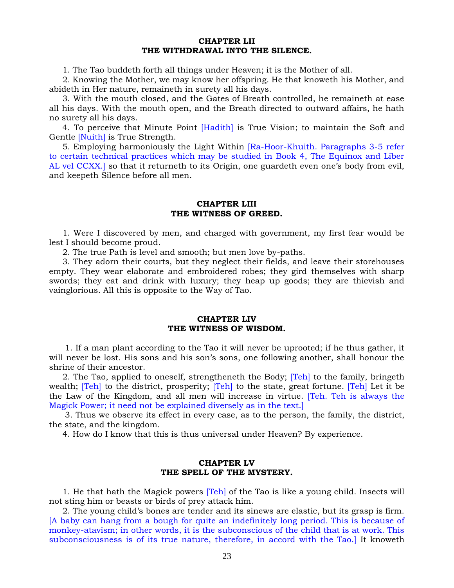#### **CHAPTER LII THE WITHDRAWAL INTO THE SILENCE.**

1. The Tao buddeth forth all things under Heaven; it is the Mother of all.

2. Knowing the Mother, we may know her offspring. He that knoweth his Mother, and abideth in Her nature, remaineth in surety all his days.

3. With the mouth closed, and the Gates of Breath controlled, he remaineth at ease all his days. With the mouth open, and the Breath directed to outward affairs, he hath no surety all his days.

4. To perceive that Minute Point [Hadith] is True Vision; to maintain the Soft and Gentle [Nuith] is True Strength.

5. Employing harmoniously the Light Within [Ra-Hoor-Khuith. Paragraphs 3-5 refer to certain technical practices which may be studied in Book 4, The Equinox and Liber AL vel CCXX.] so that it returneth to its Origin, one guardeth even one's body from evil, and keepeth Silence before all men.

#### **CHAPTER LIII THE WITNESS OF GREED.**

1. Were I discovered by men, and charged with government, my first fear would be lest I should become proud.

2. The true Path is level and smooth; but men love by-paths.

3. They adorn their courts, but they neglect their fields, and leave their storehouses empty. They wear elaborate and embroidered robes; they gird themselves with sharp swords; they eat and drink with luxury; they heap up goods; they are thievish and vainglorious. All this is opposite to the Way of Tao.

# **CHAPTER LIV THE WITNESS OF WISDOM.**

1. If a man plant according to the Tao it will never be uprooted; if he thus gather, it will never be lost. His sons and his son's sons, one following another, shall honour the shrine of their ancestor.

2. The Tao, applied to oneself, strengtheneth the Body; [Teh] to the family, bringeth wealth; [Teh] to the district, prosperity; [Teh] to the state, great fortune. [Teh] Let it be the Law of the Kingdom, and all men will increase in virtue. [Teh. Teh is always the Magick Power; it need not be explained diversely as in the text.]

3. Thus we observe its effect in every case, as to the person, the family, the district, the state, and the kingdom.

4. How do I know that this is thus universal under Heaven? By experience.

## **CHAPTER LV THE SPELL OF THE MYSTERY.**

1. He that hath the Magick powers [Teh] of the Tao is like a young child. Insects will not sting him or beasts or birds of prey attack him.

2. The young child's bones are tender and its sinews are elastic, but its grasp is firm. [A baby can hang from a bough for quite an indefinitely long period. This is because of monkey-atavism; in other words, it is the subconscious of the child that is at work. This subconsciousness is of its true nature, therefore, in accord with the Tao.] It knoweth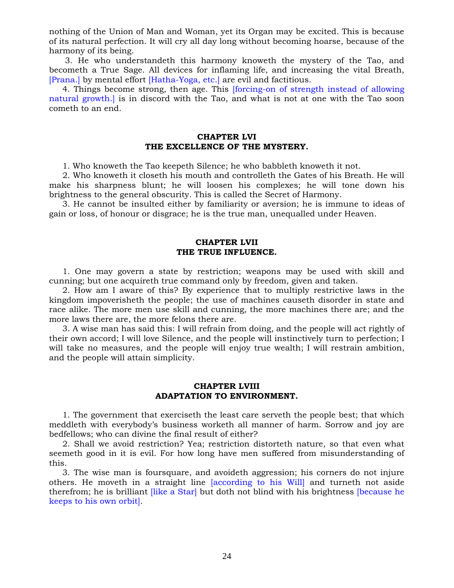nothing of the Union of Man and Woman, yet its Organ may be excited. This is because of its natural perfection. It will cry all day long without becoming hoarse, because of the harmony of its being.

3. He who understandeth this harmony knoweth the mystery of the Tao, and becometh a True Sage. All devices for inflaming life, and increasing the vital Breath, [Prana.] by mental effort [Hatha-Yoga, etc.] are evil and factitious.

4. Things become strong, then age. This [forcing-on of strength instead of allowing natural growth.] is in discord with the Tao, and what is not at one with the Tao soon cometh to an end.

# **CHAPTER LVI THE EXCELLENCE OF THE MYSTERY.**

1. Who knoweth the Tao keepeth Silence; he who babbleth knoweth it not.

2. Who knoweth it closeth his mouth and controlleth the Gates of his Breath. He will make his sharpness blunt; he will loosen his complexes; he will tone down his brightness to the general obscurity. This is called the Secret of Harmony.

3. He cannot be insulted either by familiarity or aversion; he is immune to ideas of gain or loss, of honour or disgrace; he is the true man, unequalled under Heaven.

# **CHAPTER LVII THE TRUE INFLUENCE.**

1. One may govern a state by restriction; weapons may be used with skill and cunning; but one acquireth true command only by freedom, given and taken.

2. How am I aware of this? By experience that to multiply restrictive laws in the kingdom impoverisheth the people; the use of machines causeth disorder in state and race alike. The more men use skill and cunning, the more machines there are; and the more laws there are, the more felons there are.

3. A wise man has said this: I will refrain from doing, and the people will act rightly of their own accord; I will love Silence, and the people will instinctively turn to perfection; I will take no measures, and the people will enjoy true wealth; I will restrain ambition, and the people will attain simplicity.

# **CHAPTER LVIII ADAPTATION TO ENVIRONMENT.**

1. The government that exerciseth the least care serveth the people best; that which meddleth with everybody's business worketh all manner of harm. Sorrow and joy are bedfellows; who can divine the final result of either?

2. Shall we avoid restriction? Yea; restriction distorteth nature, so that even what seemeth good in it is evil. For how long have men suffered from misunderstanding of this.

3. The wise man is foursquare, and avoideth aggression; his corners do not injure others. He moveth in a straight line [according to his Will] and turneth not aside therefrom; he is brilliant [like a Star] but doth not blind with his brightness [because he keeps to his own orbit].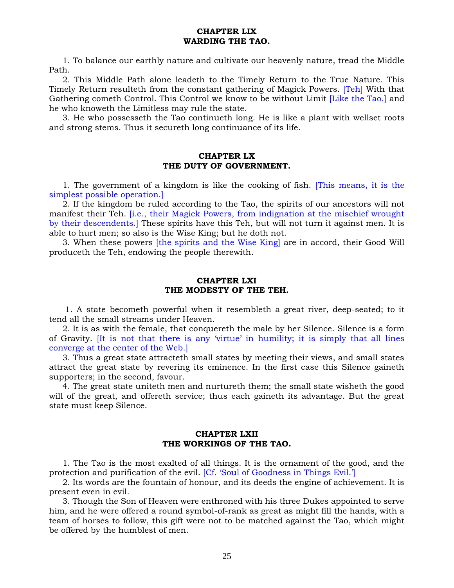# **CHAPTER LIX WARDING THE TAO.**

1. To balance our earthly nature and cultivate our heavenly nature, tread the Middle Path.

2. This Middle Path alone leadeth to the Timely Return to the True Nature. This Timely Return resulteth from the constant gathering of Magick Powers. [Teh] With that Gathering cometh Control. This Control we know to be without Limit [Like the Tao.] and he who knoweth the Limitless may rule the state.

3. He who possesseth the Tao continueth long. He is like a plant with wellset roots and strong stems. Thus it secureth long continuance of its life.

# **CHAPTER LX THE DUTY OF GOVERNMENT.**

1. The government of a kingdom is like the cooking of fish. [This means, it is the simplest possible operation.]

2. If the kingdom be ruled according to the Tao, the spirits of our ancestors will not manifest their Teh. [i.e., their Magick Powers, from indignation at the mischief wrought by their descendents.] These spirits have this Teh, but will not turn it against men. It is able to hurt men; so also is the Wise King; but he doth not.

3. When these powers [the spirits and the Wise King] are in accord, their Good Will produceth the Teh, endowing the people therewith.

# **CHAPTER LXI THE MODESTY OF THE TEH.**

1. A state becometh powerful when it resembleth a great river, deep-seated; to it tend all the small streams under Heaven.

2. It is as with the female, that conquereth the male by her Silence. Silence is a form of Gravity. [It is not that there is any 'virtue' in humility; it is simply that all lines converge at the center of the Web.]

3. Thus a great state attracteth small states by meeting their views, and small states attract the great state by revering its eminence. In the first case this Silence gaineth supporters; in the second, favour.

4. The great state uniteth men and nurtureth them; the small state wisheth the good will of the great, and offereth service; thus each gaineth its advantage. But the great state must keep Silence.

# **CHAPTER LXII THE WORKINGS OF THE TAO.**

1. The Tao is the most exalted of all things. It is the ornament of the good, and the protection and purification of the evil. [Cf. 'Soul of Goodness in Things Evil.']

2. Its words are the fountain of honour, and its deeds the engine of achievement. It is present even in evil.

3. Though the Son of Heaven were enthroned with his three Dukes appointed to serve him, and he were offered a round symbol-of-rank as great as might fill the hands, with a team of horses to follow, this gift were not to be matched against the Tao, which might be offered by the humblest of men.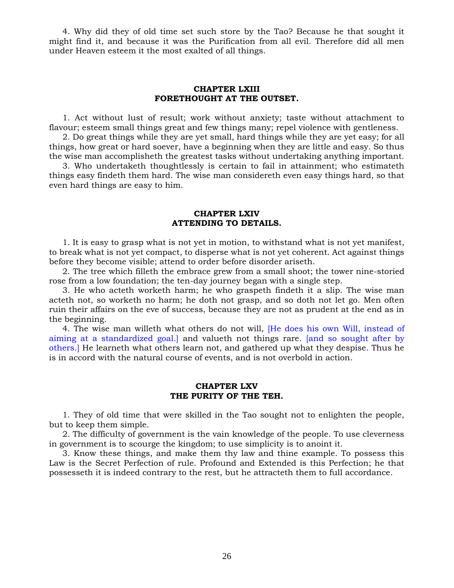4. Why did they of old time set such store by the Tao? Because he that sought it might find it, and because it was the Purification from all evil. Therefore did all men under Heaven esteem it the most exalted of all things.

# **CHAPTER LXIII FORETHOUGHT AT THE OUTSET.**

1. Act without lust of result; work without anxiety; taste without attachment to flavour; esteem small things great and few things many; repel violence with gentleness.

2. Do great things while they are yet small, hard things while they are yet easy; for all things, how great or hard soever, have a beginning when they are little and easy. So thus the wise man accomplisheth the greatest tasks without undertaking anything important.

3. Who undertaketh thoughtlessly is certain to fail in attainment; who estimateth things easy findeth them hard. The wise man considereth even easy things hard, so that even hard things are easy to him.

#### **CHAPTER LXIV ATTENDING TO DETAILS.**

1. It is easy to grasp what is not yet in motion, to withstand what is not yet manifest, to break what is not yet compact, to disperse what is not yet coherent. Act against things before they become visible; attend to order before disorder ariseth.

2. The tree which filleth the embrace grew from a small shoot; the tower nine-storied rose from a low foundation; the ten-day journey began with a single step.

3. He who acteth worketh harm; he who graspeth findeth it a slip. The wise man acteth not, so worketh no harm; he doth not grasp, and so doth not let go. Men often ruin their affairs on the eve of success, because they are not as prudent at the end as in the beginning.

4. The wise man willeth what others do not will, [He does his own Will, instead of aiming at a standardized goal.] and valueth not things rare. [and so sought after by others.] He learneth what others learn not, and gathered up what they despise. Thus he is in accord with the natural course of events, and is not overbold in action.

# **CHAPTER LXV THE PURITY OF THE TEH.**

1. They of old time that were skilled in the Tao sought not to enlighten the people, but to keep them simple.

2. The difficulty of government is the vain knowledge of the people. To use cleverness in government is to scourge the kingdom; to use simplicity is to anoint it.

3. Know these things, and make them thy law and thine example. To possess this Law is the Secret Perfection of rule. Profound and Extended is this Perfection; he that possesseth it is indeed contrary to the rest, but he attracteth them to full accordance.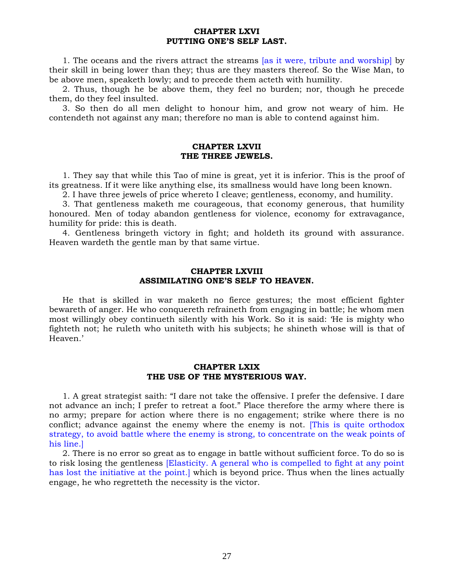### **CHAPTER LXVI PUTTING ONE'S SELF LAST.**

1. The oceans and the rivers attract the streams [as it were, tribute and worship] by their skill in being lower than they; thus are they masters thereof. So the Wise Man, to be above men, speaketh lowly; and to precede them acteth with humility.

2. Thus, though he be above them, they feel no burden; nor, though he precede them, do they feel insulted.

3. So then do all men delight to honour him, and grow not weary of him. He contendeth not against any man; therefore no man is able to contend against him.

# **CHAPTER LXVII THE THREE JEWELS.**

1. They say that while this Tao of mine is great, yet it is inferior. This is the proof of its greatness. If it were like anything else, its smallness would have long been known.

2. I have three jewels of price whereto I cleave; gentleness, economy, and humility.

3. That gentleness maketh me courageous, that economy generous, that humility honoured. Men of today abandon gentleness for violence, economy for extravagance, humility for pride: this is death.

4. Gentleness bringeth victory in fight; and holdeth its ground with assurance. Heaven wardeth the gentle man by that same virtue.

#### **CHAPTER LXVIII ASSIMILATING ONE'S SELF TO HEAVEN.**

He that is skilled in war maketh no fierce gestures; the most efficient fighter bewareth of anger. He who conquereth refraineth from engaging in battle; he whom men most willingly obey continueth silently with his Work. So it is said: 'He is mighty who fighteth not; he ruleth who uniteth with his subjects; he shineth whose will is that of Heaven.'

# **CHAPTER LXIX THE USE OF THE MYSTERIOUS WAY.**

1. A great strategist saith: "I dare not take the offensive. I prefer the defensive. I dare not advance an inch; I prefer to retreat a foot." Place therefore the army where there is no army; prepare for action where there is no engagement; strike where there is no conflict; advance against the enemy where the enemy is not. [This is quite orthodox strategy, to avoid battle where the enemy is strong, to concentrate on the weak points of his line.]

2. There is no error so great as to engage in battle without sufficient force. To do so is to risk losing the gentleness [Elasticity. A general who is compelled to fight at any point has lost the initiative at the point.] which is beyond price. Thus when the lines actually engage, he who regretteth the necessity is the victor.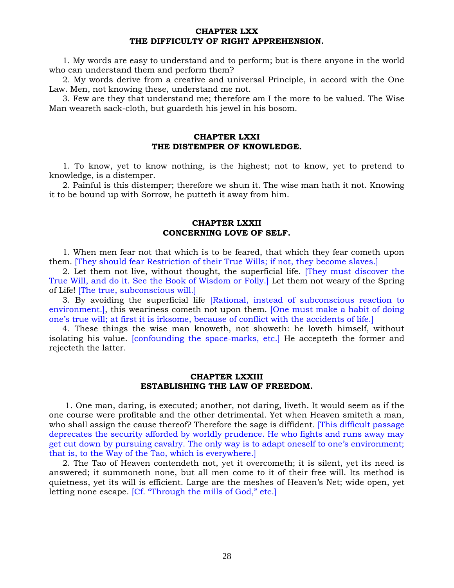# **CHAPTER LXX THE DIFFICULTY OF RIGHT APPREHENSION.**

1. My words are easy to understand and to perform; but is there anyone in the world who can understand them and perform them?

2. My words derive from a creative and universal Principle, in accord with the One Law. Men, not knowing these, understand me not.

3. Few are they that understand me; therefore am I the more to be valued. The Wise Man weareth sack-cloth, but guardeth his jewel in his bosom.

# **CHAPTER LXXI THE DISTEMPER OF KNOWLEDGE.**

1. To know, yet to know nothing, is the highest; not to know, yet to pretend to knowledge, is a distemper.

2. Painful is this distemper; therefore we shun it. The wise man hath it not. Knowing it to be bound up with Sorrow, he putteth it away from him.

### **CHAPTER LXXII CONCERNING LOVE OF SELF.**

1. When men fear not that which is to be feared, that which they fear cometh upon them. [They should fear Restriction of their True Wills; if not, they become slaves.]

2. Let them not live, without thought, the superficial life. [They must discover the True Will, and do it. See the Book of Wisdom or Folly.] Let them not weary of the Spring of Life! [The true, subconscious will.]

3. By avoiding the superficial life [Rational, instead of subconscious reaction to environment.], this weariness cometh not upon them. [One must make a habit of doing one's true will; at first it is irksome, because of conflict with the accidents of life.]

4. These things the wise man knoweth, not showeth: he loveth himself, without isolating his value. [confounding the space-marks, etc.] He accepteth the former and rejecteth the latter.

#### **CHAPTER LXXIII ESTABLISHING THE LAW OF FREEDOM.**

1. One man, daring, is executed; another, not daring, liveth. It would seem as if the one course were profitable and the other detrimental. Yet when Heaven smiteth a man, who shall assign the cause thereof? Therefore the sage is diffident. [This difficult passage deprecates the security afforded by worldly prudence. He who fights and runs away may get cut down by pursuing cavalry. The only way is to adapt oneself to one's environment; that is, to the Way of the Tao, which is everywhere.]

2. The Tao of Heaven contendeth not, yet it overcometh; it is silent, yet its need is answered; it summoneth none, but all men come to it of their free will. Its method is quietness, yet its will is efficient. Large are the meshes of Heaven's Net; wide open, yet letting none escape. [Cf. "Through the mills of God," etc.]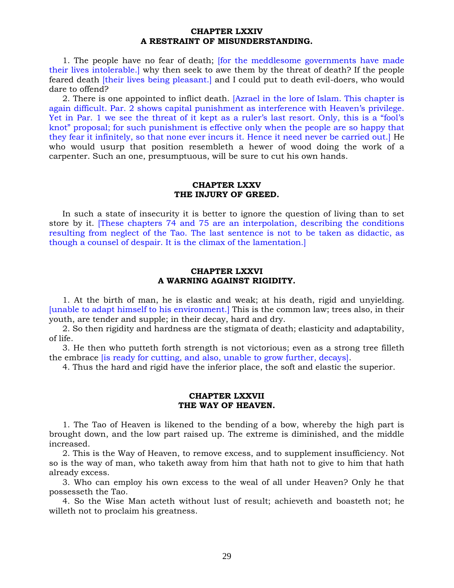#### **CHAPTER LXXIV A RESTRAINT OF MISUNDERSTANDING.**

1. The people have no fear of death; [for the meddlesome governments have made their lives intolerable.] why then seek to awe them by the threat of death? If the people feared death [their lives being pleasant.] and I could put to death evil-doers, who would dare to offend?

2. There is one appointed to inflict death. [Azrael in the lore of Islam. This chapter is again difficult. Par. 2 shows capital punishment as interference with Heaven's privilege. Yet in Par. 1 we see the threat of it kept as a ruler's last resort. Only, this is a "fool's knot" proposal; for such punishment is effective only when the people are so happy that they fear it infinitely, so that none ever incurs it. Hence it need never be carried out.] He who would usurp that position resembleth a hewer of wood doing the work of a carpenter. Such an one, presumptuous, will be sure to cut his own hands.

#### **CHAPTER LXXV THE INJURY OF GREED.**

In such a state of insecurity it is better to ignore the question of living than to set store by it. [These chapters 74 and 75 are an interpolation, describing the conditions resulting from neglect of the Tao. The last sentence is not to be taken as didactic, as though a counsel of despair. It is the climax of the lamentation.]

#### **CHAPTER LXXVI A WARNING AGAINST RIGIDITY.**

1. At the birth of man, he is elastic and weak; at his death, rigid and unyielding. [unable to adapt himself to his environment.] This is the common law; trees also, in their youth, are tender and supple; in their decay, hard and dry.

2. So then rigidity and hardness are the stigmata of death; elasticity and adaptability, of life.

3. He then who putteth forth strength is not victorious; even as a strong tree filleth the embrace [is ready for cutting, and also, unable to grow further, decays].

4. Thus the hard and rigid have the inferior place, the soft and elastic the superior.

#### **CHAPTER LXXVII THE WAY OF HEAVEN.**

1. The Tao of Heaven is likened to the bending of a bow, whereby the high part is brought down, and the low part raised up. The extreme is diminished, and the middle increased.

2. This is the Way of Heaven, to remove excess, and to supplement insufficiency. Not so is the way of man, who taketh away from him that hath not to give to him that hath already excess.

3. Who can employ his own excess to the weal of all under Heaven? Only he that possesseth the Tao.

4. So the Wise Man acteth without lust of result; achieveth and boasteth not; he willeth not to proclaim his greatness.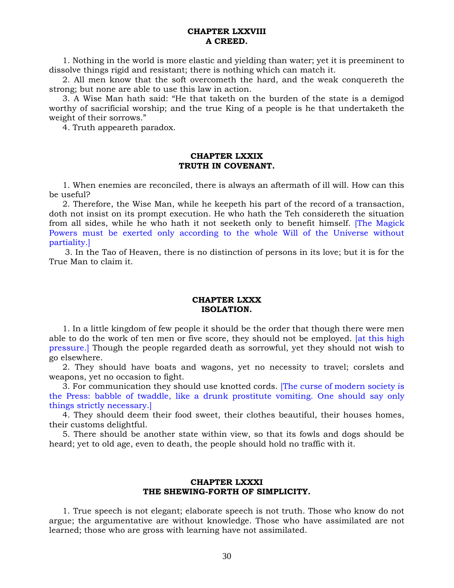# **CHAPTER LXXVIII A CREED.**

1. Nothing in the world is more elastic and yielding than water; yet it is preeminent to dissolve things rigid and resistant; there is nothing which can match it.

2. All men know that the soft overcometh the hard, and the weak conquereth the strong; but none are able to use this law in action.

3. A Wise Man hath said: "He that taketh on the burden of the state is a demigod worthy of sacrificial worship; and the true King of a people is he that undertaketh the weight of their sorrows."

4. Truth appeareth paradox.

# **CHAPTER LXXIX TRUTH IN COVENANT.**

1. When enemies are reconciled, there is always an aftermath of ill will. How can this be useful?

2. Therefore, the Wise Man, while he keepeth his part of the record of a transaction, doth not insist on its prompt execution. He who hath the Teh considereth the situation from all sides, while he who hath it not seeketh only to benefit himself. [The Magick Powers must be exerted only according to the whole Will of the Universe without partiality.]

3. In the Tao of Heaven, there is no distinction of persons in its love; but it is for the True Man to claim it.

# **CHAPTER LXXX ISOLATION.**

1. In a little kingdom of few people it should be the order that though there were men able to do the work of ten men or five score, they should not be employed. [at this high pressure.] Though the people regarded death as sorrowful, yet they should not wish to go elsewhere.

2. They should have boats and wagons, yet no necessity to travel; corslets and weapons, yet no occasion to fight.

3. For communication they should use knotted cords. [The curse of modern society is the Press: babble of twaddle, like a drunk prostitute vomiting. One should say only things strictly necessary.]

4. They should deem their food sweet, their clothes beautiful, their houses homes, their customs delightful.

5. There should be another state within view, so that its fowls and dogs should be heard; yet to old age, even to death, the people should hold no traffic with it.

# **CHAPTER LXXXI THE SHEWING-FORTH OF SIMPLICITY.**

1. True speech is not elegant; elaborate speech is not truth. Those who know do not argue; the argumentative are without knowledge. Those who have assimilated are not learned; those who are gross with learning have not assimilated.